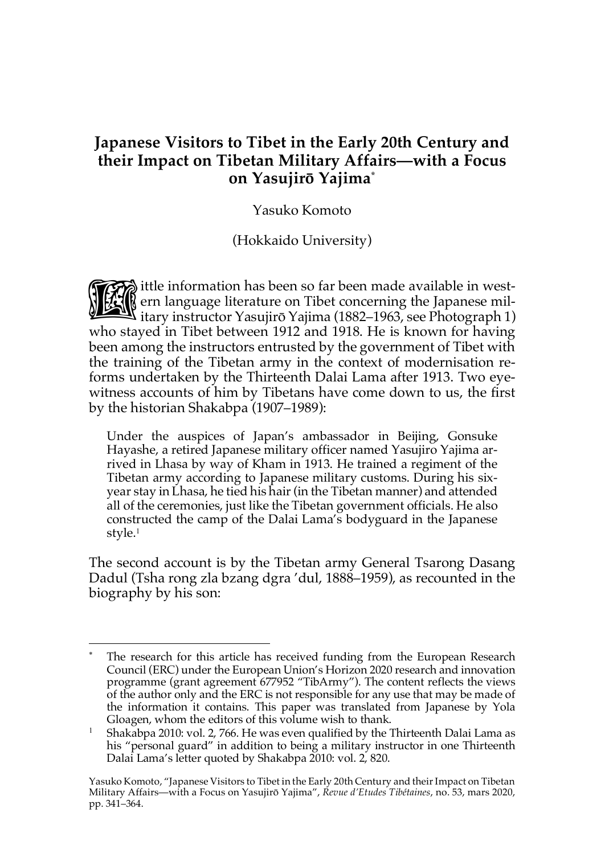# **Japanese Visitors to Tibet in the Early 20th Century and their Impact on Tibetan Military Affairs—with a Focus on Yasujirō Yajima\***

Yasuko Komoto

(Hokkaido University)

ittle information has been so far been made available in west-<br>
itary instructor Yasujirō Yajima (1882–1963, see Photograph 1) ern language literature on Tibet concerning the Japanese military instructor Yasujirō Yajima (1882–1963, see Photograph 1) who stayed in Tibet between 1912 and 1918. He is known for having been among the instructors entrusted by the government of Tibet with the training of the Tibetan army in the context of modernisation reforms undertaken by the Thirteenth Dalai Lama after 1913. Two eyewitness accounts of him by Tibetans have come down to us, the first by the historian Shakabpa (1907–1989):

Under the auspices of Japan's ambassador in Beijing, Gonsuke Hayashe, a retired Japanese military officer named Yasujiro Yajima arrived in Lhasa by way of Kham in 1913. He trained a regiment of the Tibetan army according to Japanese military customs. During his sixyear stay in Lhasa, he tied his hair (in the Tibetan manner) and attended all of the ceremonies, just like the Tibetan government officials. He also constructed the camp of the Dalai Lama's bodyguard in the Japanese style.<sup>1</sup>

The second account is by the Tibetan army General Tsarong Dasang Dadul (Tsha rong zla bzang dgra 'dul, 1888–1959), as recounted in the biography by his son:

 $\overline{a}$ The research for this article has received funding from the European Research Council (ERC) under the European Union's Horizon 2020 research and innovation programme (grant agreement 677952 "TibArmy"). The content reflects the views of the author only and the ERC is not responsible for any use that may be made of the information it contains. This paper was translated from Japanese by Yola Gloagen, whom the editors of this volume wish to thank.

<sup>&</sup>lt;sup>1</sup> Shakabpa 2010: vol. 2, 766. He was even qualified by the Thirteenth Dalai Lama as his "personal guard" in addition to being a military instructor in one Thirteenth Dalai Lama's letter quoted by Shakabpa 2010: vol. 2, 820.

Yasuko Komoto, "Japanese Visitors to Tibet in the Early 20th Century and their Impact on Tibetan Military Affairs—with a Focus on Yasujirō Yajima", *Revue d'Etudes Tibétaines*, no. 53, mars 2020, pp. 341–364.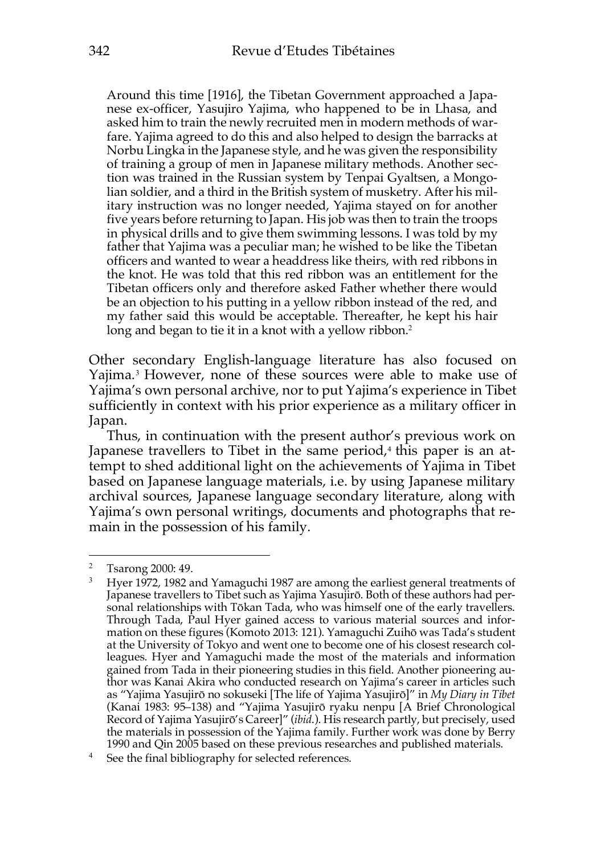Around this time [1916], the Tibetan Government approached a Japanese ex-officer, Yasujiro Yajima, who happened to be in Lhasa, and asked him to train the newly recruited men in modern methods of warfare. Yajima agreed to do this and also helped to design the barracks at Norbu Lingka in the Japanese style, and he was given the responsibility of training a group of men in Japanese military methods. Another section was trained in the Russian system by Tenpai Gyaltsen, a Mongolian soldier, and a third in the British system of musketry. After his military instruction was no longer needed, Yajima stayed on for another five years before returning to Japan. His job was then to train the troops in physical drills and to give them swimming lessons. I was told by my father that Yajima was a peculiar man; he wished to be like the Tibetan officers and wanted to wear a headdress like theirs, with red ribbons in the knot. He was told that this red ribbon was an entitlement for the Tibetan officers only and therefore asked Father whether there would be an objection to his putting in a yellow ribbon instead of the red, and my father said this would be acceptable. Thereafter, he kept his hair long and began to tie it in a knot with a yellow ribbon.<sup>2</sup>

Other secondary English-language literature has also focused on Yajima.<sup>3</sup> However, none of these sources were able to make use of Yajima's own personal archive, nor to put Yajima's experience in Tibet sufficiently in context with his prior experience as a military officer in Japan.

Thus, in continuation with the present author's previous work on Japanese travellers to Tibet in the same period, $4$  this paper is an attempt to shed additional light on the achievements of Yajima in Tibet based on Japanese language materials, i.e. by using Japanese military archival sources, Japanese language secondary literature, along with Yajima's own personal writings, documents and photographs that remain in the possession of his family.

<sup>2</sup> Tsarong 2000: 49.

<sup>3</sup> Hyer 1972, 1982 and Yamaguchi 1987 are among the earliest general treatments of Japanese travellers to Tibet such as Yajima Yasujirō. Both of these authors had personal relationships with Tōkan Tada, who was himself one of the early travellers. Through Tada, Paul Hyer gained access to various material sources and information on these figures (Komoto 2013: 121). Yamaguchi Zuihō was Tada's student at the University of Tokyo and went one to become one of his closest research colleagues. Hyer and Yamaguchi made the most of the materials and information gained from Tada in their pioneering studies in this field. Another pioneering author was Kanai Akira who conducted research on Yajima's career in articles such as "Yajima Yasujirō no sokuseki [The life of Yajima Yasujirō]" in *My Diary in Tibet* (Kanai 1983: 95–138) and "Yajima Yasujirō ryaku nenpu [A Brief Chronological Record of Yajima Yasujirō's Career]" (*ibid*.). His research partly, but precisely, used the materials in possession of the Yajima family. Further work was done by Berry 1990 and Qin 2005 based on these previous researches and published materials.

<sup>&</sup>lt;sup>4</sup> See the final bibliography for selected references.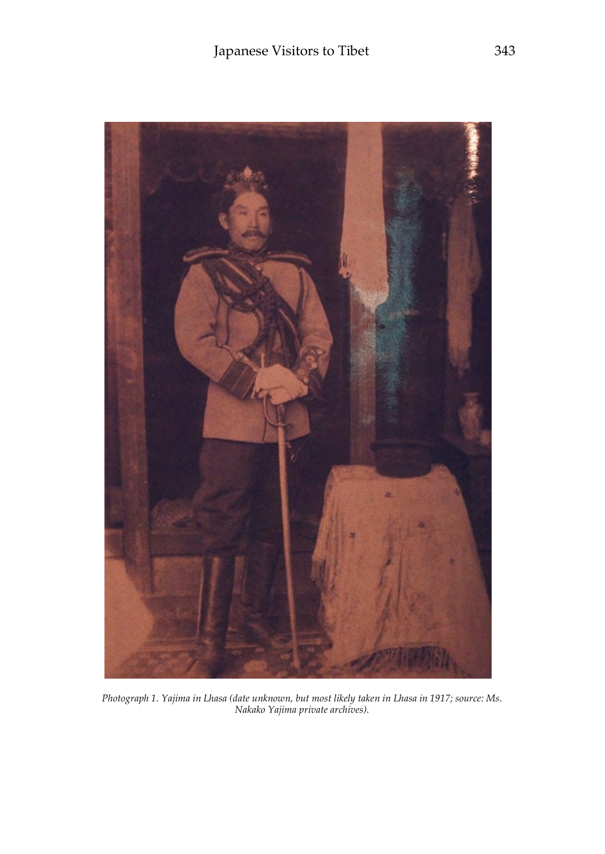

*Photograph 1. Yajima in Lhasa (date unknown, but most likely taken in Lhasa in 1917; source: Ms. Nakako Yajima private archives).*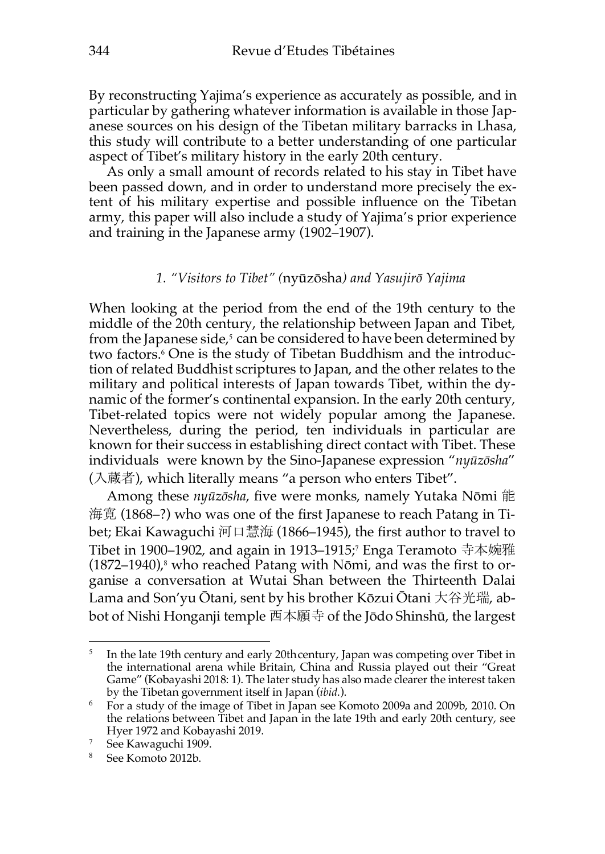By reconstructing Yajima's experience as accurately as possible, and in particular by gathering whatever information is available in those Japanese sources on his design of the Tibetan military barracks in Lhasa, this study will contribute to a better understanding of one particular aspect of Tibet's military history in the early 20th century.

As only a small amount of records related to his stay in Tibet have been passed down, and in order to understand more precisely the extent of his military expertise and possible influence on the Tibetan army, this paper will also include a study of Yajima's prior experience and training in the Japanese army (1902–1907).

#### *1. "Visitors to Tibet" (*nyūzōsha*) and Yasujirō Yajima*

When looking at the period from the end of the 19th century to the middle of the 20th century, the relationship between Japan and Tibet, from the Japanese side, $5$  can be considered to have been determined by two factors.<sup>6</sup> One is the study of Tibetan Buddhism and the introduction of related Buddhist scriptures to Japan, and the other relates to the military and political interests of Japan towards Tibet, within the dynamic of the former's continental expansion. In the early 20th century, Tibet-related topics were not widely popular among the Japanese. Nevertheless, during the period, ten individuals in particular are known for their success in establishing direct contact with Tibet. These individuals were known by the Sino-Japanese expression "*nyūzōsha*" (入蔵者), which literally means "a person who enters Tibet".

Among these *nyūzōsha*, five were monks, namely Yutaka Nōmi 能 海寛 (1868–?) who was one of the first Japanese to reach Patang in Tibet; Ekai Kawaguchi 河口慧海 (1866–1945), the first author to travel to Tibet in 1900–1902, and again in 1913–1915;7 Enga Teramoto 寺本婉雅 (1872–1940), $^8$  who reached Patang with Nōmi, and was the first to organise a conversation at Wutai Shan between the Thirteenth Dalai Lama and Son'yu Ōtani, sent by his brother Kōzui Ōtani 大谷光瑞, abbot of Nishi Honganji temple 西本願寺 of the Jōdo Shinshū, the largest

<sup>5</sup> In the late 19th century and early 20thcentury, Japan was competing over Tibet in the international arena while Britain, China and Russia played out their "Great Game" (Kobayashi 2018: 1). The later study has also made clearer the interest taken by the Tibetan government itself in Japan (*ibid*.).

<sup>6</sup> For a study of the image of Tibet in Japan see Komoto 2009a and 2009b, 2010. On the relations between Tibet and Japan in the late 19th and early 20th century, see Hyer 1972 and Kobayashi 2019.

<sup>7</sup> See Kawaguchi 1909.

<sup>8</sup> See Komoto 2012b.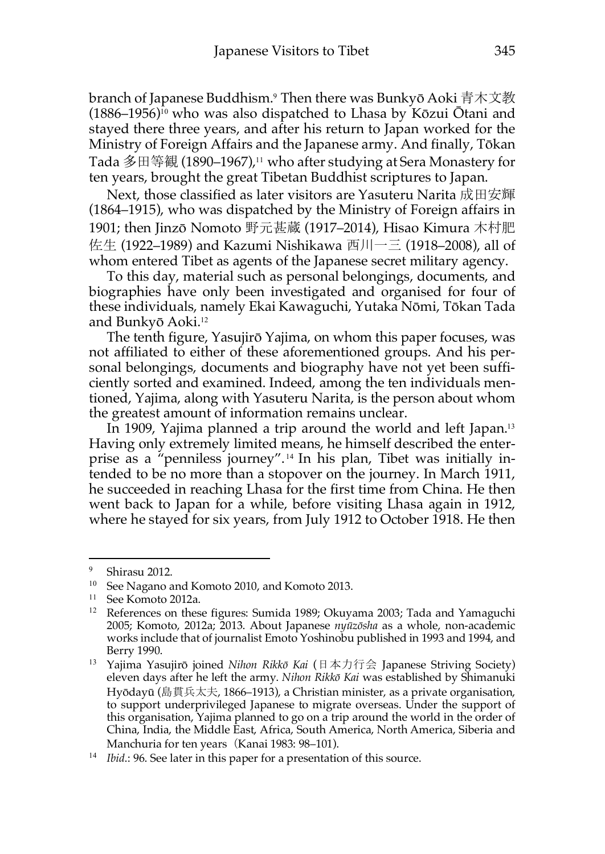branch of Japanese Buddhism.<sup>9</sup> Then there was Bunkyō Aoki 青木文教  $(1886-1956)^{10}$  who was also dispatched to Lhasa by Kōzui Ōtani and stayed there three years, and after his return to Japan worked for the Ministry of Foreign Affairs and the Japanese army. And finally, Tōkan Tada 多田等観 (1890–1967),<sup>11</sup> who after studying at Sera Monastery for ten years, brought the great Tibetan Buddhist scriptures to Japan.

Next, those classified as later visitors are Yasuteru Narita 成田安輝 (1864–1915), who was dispatched by the Ministry of Foreign affairs in 1901; then Jinzō Nomoto 野元甚蔵 (1917–2014), Hisao Kimura 木村肥 佐生 (1922–1989) and Kazumi Nishikawa 西川一三 (1918–2008), all of whom entered Tibet as agents of the Japanese secret military agency.

To this day, material such as personal belongings, documents, and biographies have only been investigated and organised for four of these individuals, namely Ekai Kawaguchi, Yutaka Nōmi, Tōkan Tada and Bunkyō Aoki.<sup>12</sup>

The tenth figure, Yasujirō Yajima, on whom this paper focuses, was not affiliated to either of these aforementioned groups. And his personal belongings, documents and biography have not yet been sufficiently sorted and examined. Indeed, among the ten individuals mentioned, Yajima, along with Yasuteru Narita, is the person about whom the greatest amount of information remains unclear.

In 1909, Yajima planned a trip around the world and left Japan.<sup>13</sup> Having only extremely limited means, he himself described the enterprise as a "penniless journey". <sup>14</sup> In his plan, Tibet was initially intended to be no more than a stopover on the journey. In March 1911, he succeeded in reaching Lhasa for the first time from China. He then went back to Japan for a while, before visiting Lhasa again in 1912, where he stayed for six years, from July 1912 to October 1918. He then

<sup>9</sup> Shirasu 2012.

<sup>10</sup> See Nagano and Komoto 2010, and Komoto 2013.

<sup>11</sup> See Komoto 2012a.

<sup>&</sup>lt;sup>12</sup> References on these figures: Sumida 1989; Okuyama 2003; Tada and Yamaguchi 2005; Komoto, 2012a; 2013. About Japanese *nyūzōsha* as a whole, non-academic works include that of journalist Emoto Yoshinobu published in 1993 and 1994, and Berry 1990.

<sup>13</sup> Yajima Yasujirō joined *Nihon Rikkō Kai* (日本力行会 Japanese Striving Society) eleven days after he left the army. *Nihon Rikkō Kai* was established by Shimanuki Hyōdayū (島貫兵太夫, 1866–1913), a Christian minister, as a private organisation, to support underprivileged Japanese to migrate overseas. Under the support of this organisation, Yajima planned to go on a trip around the world in the order of China, India, the Middle East, Africa, South America, North America, Siberia and Manchuria for ten years (Kanai 1983: 98–101).

<sup>&</sup>lt;sup>14</sup> *Ibid*.: 96. See later in this paper for a presentation of this source.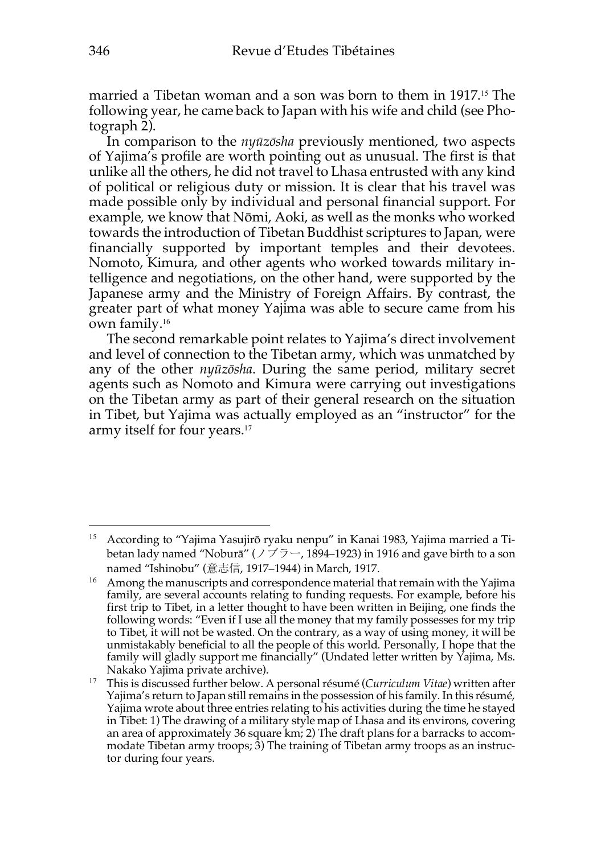married a Tibetan woman and a son was born to them in 1917.<sup>15</sup> The following year, he came back to Japan with his wife and child (see Photograph 2).

In comparison to the *nyūzōsha* previously mentioned, two aspects of Yajima's profile are worth pointing out as unusual. The first is that unlike all the others, he did not travel to Lhasa entrusted with any kind of political or religious duty or mission. It is clear that his travel was made possible only by individual and personal financial support. For example, we know that Nōmi, Aoki, as well as the monks who worked towards the introduction of Tibetan Buddhist scriptures to Japan, were financially supported by important temples and their devotees. Nomoto, Kimura, and other agents who worked towards military intelligence and negotiations, on the other hand, were supported by the Japanese army and the Ministry of Foreign Affairs. By contrast, the greater part of what money Yajima was able to secure came from his own family.<sup>16</sup>

The second remarkable point relates to Yajima's direct involvement and level of connection to the Tibetan army, which was unmatched by any of the other *nyūzōsha*. During the same period, military secret agents such as Nomoto and Kimura were carrying out investigations on the Tibetan army as part of their general research on the situation in Tibet, but Yajima was actually employed as an "instructor" for the army itself for four years.<sup>17</sup>

<sup>&</sup>lt;sup>15</sup> According to "Yajima Yasujirō ryaku nenpu" in Kanai 1983, Yajima married a Tibetan lady named "Noburā" ( $\angle$   $\overrightarrow{7}$   $\overrightarrow{7}$   $-$ , 1894–1923) in 1916 and gave birth to a son named "Ishinobu" (意志信, 1917–1944) in March, 1917.

<sup>&</sup>lt;sup>16</sup> Among the manuscripts and correspondence material that remain with the Yajima family, are several accounts relating to funding requests. For example, before his first trip to Tibet, in a letter thought to have been written in Beijing, one finds the following words: "Even if I use all the money that my family possesses for my trip to Tibet, it will not be wasted. On the contrary, as a way of using money, it will be unmistakably beneficial to all the people of this world. Personally, I hope that the family will gladly support me financially" (Undated letter written by Yajima, Ms. Nakako Yajima private archive).

<sup>17</sup> This is discussed further below. A personal résumé (*Curriculum Vitae*) written after Yajima's return to Japan still remains in the possession of his family. In this résumé, Yajima wrote about three entries relating to his activities during the time he stayed in Tibet: 1) The drawing of a military style map of Lhasa and its environs, covering an area of approximately 36 square km; 2) The draft plans for a barracks to accommodate Tibetan army troops; 3) The training of Tibetan army troops as an instructor during four years.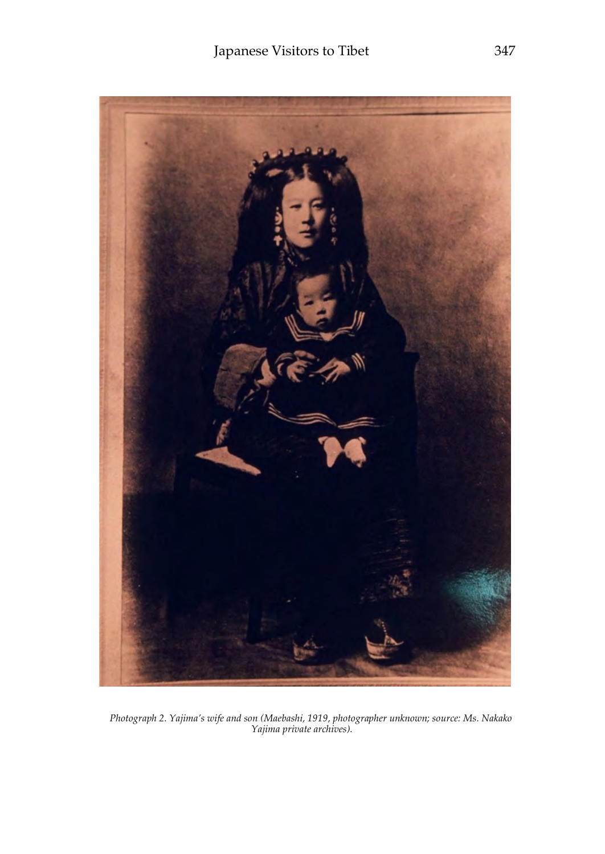

*Photograph 2. Yajima's wife and son (Maebashi, 1919, photographer unknown; source: Ms. Nakako Yajima private archives).*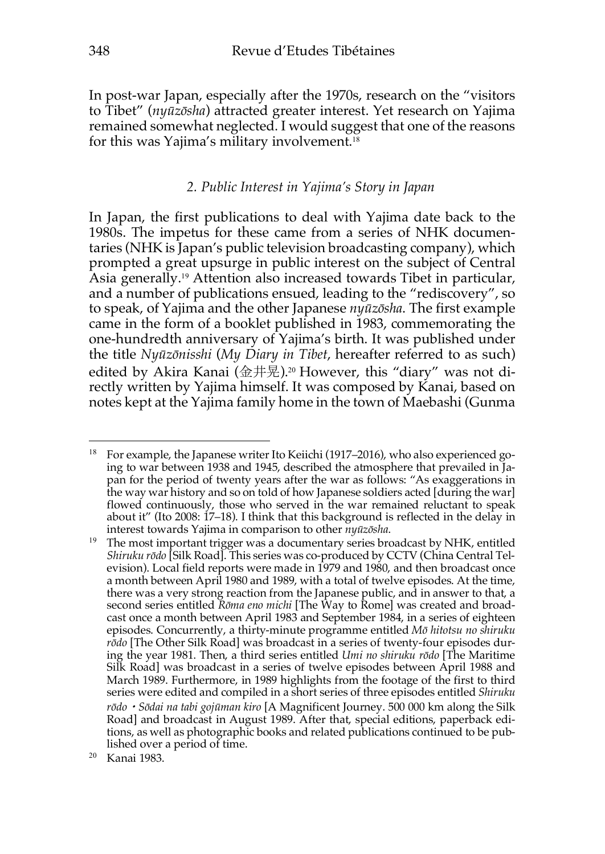In post-war Japan, especially after the 1970s, research on the "visitors to Tibet" (*nyūzōsha*) attracted greater interest. Yet research on Yajima remained somewhat neglected. I would suggest that one of the reasons for this was Yajima's military involvement.<sup>18</sup>

#### *2. Public Interest in Yajima's Story in Japan*

In Japan, the first publications to deal with Yajima date back to the 1980s. The impetus for these came from a series of NHK documentaries (NHK is Japan's public television broadcasting company), which prompted a great upsurge in public interest on the subject of Central Asia generally.<sup>19</sup> Attention also increased towards Tibet in particular, and a number of publications ensued, leading to the "rediscovery", so to speak, of Yajima and the other Japanese *nyūzōsha*. The first example came in the form of a booklet published in 1983, commemorating the one-hundredth anniversary of Yajima's birth. It was published under the title *Nyūzōnisshi* (*My Diary in Tibet*, hereafter referred to as such) edited by Akira Kanai (金井晃).<sup>20</sup> However, this "diary" was not directly written by Yajima himself. It was composed by Kanai, based on notes kept at the Yajima family home in the town of Maebashi (Gunma

<sup>&</sup>lt;sup>18</sup> For example, the Japanese writer Ito Keiichi (1917–2016), who also experienced going to war between 1938 and 1945, described the atmosphere that prevailed in Japan for the period of twenty years after the war as follows: "As exaggerations in the way war history and so on told of how Japanese soldiers acted [during the war] flowed continuously, those who served in the war remained reluctant to speak about it" (Ito 2008: 17–18). I think that this background is reflected in the delay in interest towards Yajima in comparison to other *nyūzōsha*.

<sup>&</sup>lt;sup>19</sup> The most important trigger was a documentary series broadcast by NHK, entitled *Shiruku rōdo* [Silk Road]. This series was co-produced by CCTV (China Central Television). Local field reports were made in 1979 and 1980, and then broadcast once a month between April 1980 and 1989, with a total of twelve episodes. At the time, there was a very strong reaction from the Japanese public, and in answer to that, a second series entitled *Rōma eno michi* [The Way to Rome] was created and broadcast once a month between April 1983 and September 1984, in a series of eighteen episodes. Concurrently, a thirty-minute programme entitled *Mō hitotsu no shiruku rōdo* [The Other Silk Road] was broadcast in a series of twenty-four episodes during the year 1981. Then, a third series entitled *Umi no shiruku rōdo* [The Maritime Silk Road] was broadcast in a series of twelve episodes between April 1988 and March 1989. Furthermore, in 1989 highlights from the footage of the first to third series were edited and compiled in a short series of three episodes entitled *Shiruku rōdo*・*Sōdai na tabi gojūman kiro* [A Magnificent Journey. 500 000 km along the Silk Road] and broadcast in August 1989. After that, special editions, paperback editions, as well as photographic books and related publications continued to be published over a period of time.

<sup>20</sup> Kanai 1983.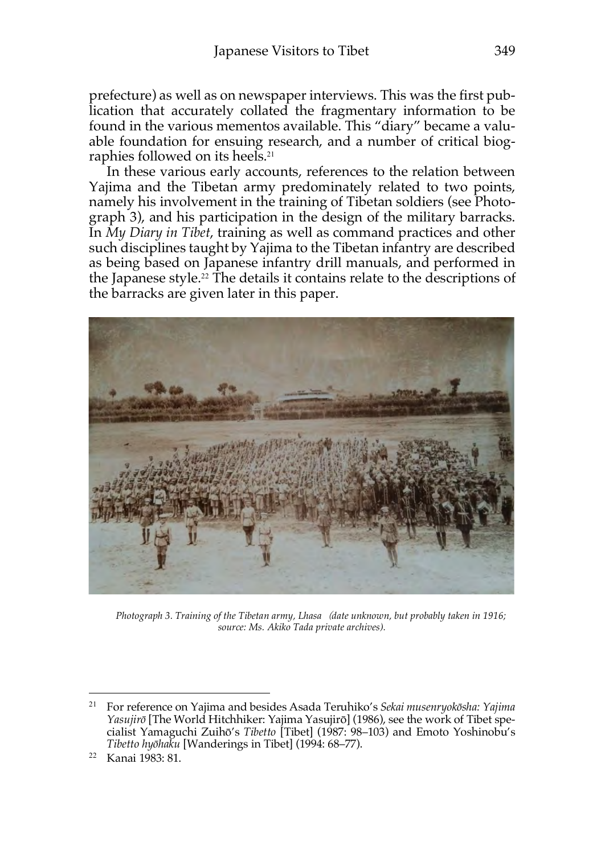prefecture) as well as on newspaper interviews. This was the first publication that accurately collated the fragmentary information to be found in the various mementos available. This "diary" became a valuable foundation for ensuing research, and a number of critical biographies followed on its heels.<sup>21</sup>

In these various early accounts, references to the relation between Yajima and the Tibetan army predominately related to two points, namely his involvement in the training of Tibetan soldiers (see Photograph 3), and his participation in the design of the military barracks. In *My Diary in Tibet*, training as well as command practices and other such disciplines taught by Yajima to the Tibetan infantry are described as being based on Japanese infantry drill manuals, and performed in the Japanese style.22 The details it contains relate to the descriptions of the barracks are given later in this paper.



*Photograph 3. Training of the Tibetan army, Lhasa*(*date unknown, but probably taken in 1916; source: Ms. Akiko Tada private archives).* 

<sup>21</sup> For reference on Yajima and besides Asada Teruhiko's *Sekai musenryokōsha: Yajima Yasujirō* [The World Hitchhiker: Yajima Yasujirō] (1986), see the work of Tibet specialist Yamaguchi Zuihō's *Tibetto* [Tibet] (1987: 98–103) and Emoto Yoshinobu's *Tibetto hyōhaku* [Wanderings in Tibet] (1994: 68–77).

<sup>22</sup> Kanai 1983: 81.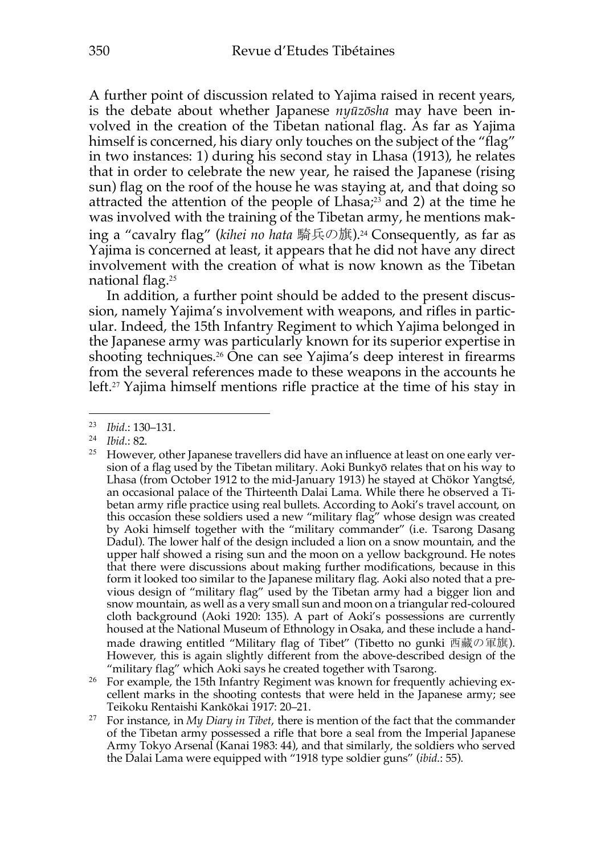A further point of discussion related to Yajima raised in recent years, is the debate about whether Japanese *nyūzōsha* may have been involved in the creation of the Tibetan national flag. As far as Yajima himself is concerned, his diary only touches on the subject of the "flag" in two instances: 1) during his second stay in Lhasa (1913), he relates that in order to celebrate the new year, he raised the Japanese (rising sun) flag on the roof of the house he was staying at, and that doing so attracted the attention of the people of  $Lhasa<sub>i</sub><sup>23</sup>$  and 2) at the time he was involved with the training of the Tibetan army, he mentions making a "cavalry flag" (*kihei no hata* 騎兵の旗).24 Consequently, as far as Yajima is concerned at least, it appears that he did not have any direct involvement with the creation of what is now known as the Tibetan national flag.<sup>25</sup>

In addition, a further point should be added to the present discussion, namely Yajima's involvement with weapons, and rifles in particular. Indeed, the 15th Infantry Regiment to which Yajima belonged in the Japanese army was particularly known for its superior expertise in shooting techniques.<sup>26</sup> One can see Yajima's deep interest in firearms from the several references made to these weapons in the accounts he left.27 Yajima himself mentions rifle practice at the time of his stay in

*Ibid.*: 82.

 $\overline{a}$ 

<sup>26</sup> For example, the 15th Infantry Regiment was known for frequently achieving excellent marks in the shooting contests that were held in the Japanese army; see Teikoku Rentaishi Kankōkai 1917: 20–21.

<sup>23</sup> *Ibid*.: 130–131.

<sup>&</sup>lt;sup>25</sup> However, other Japanese travellers did have an influence at least on one early version of a flag used by the Tibetan military. Aoki Bunkyō relates that on his way to Lhasa (from October 1912 to the mid-January 1913) he stayed at Chökor Yangtsé, an occasional palace of the Thirteenth Dalai Lama. While there he observed a Tibetan army rifle practice using real bullets. According to Aoki's travel account, on this occasion these soldiers used a new "military flag" whose design was created by Aoki himself together with the "military commander" (i.e. Tsarong Dasang Dadul). The lower half of the design included a lion on a snow mountain, and the upper half showed a rising sun and the moon on a yellow background. He notes that there were discussions about making further modifications, because in this form it looked too similar to the Japanese military flag. Aoki also noted that a previous design of "military flag" used by the Tibetan army had a bigger lion and snow mountain, as well as a very small sun and moon on a triangular red-coloured cloth background (Aoki 1920: 135). A part of Aoki's possessions are currently housed at the National Museum of Ethnology in Osaka, and these include a handmade drawing entitled "Military flag of Tibet" (Tibetto no gunki 西藏の軍旗). However, this is again slightly different from the above-described design of the "military flag" which Aoki says he created together with Tsarong.

<sup>27</sup> For instance, in *My Diary in Tibet*, there is mention of the fact that the commander of the Tibetan army possessed a rifle that bore a seal from the Imperial Japanese Army Tokyo Arsenal (Kanai 1983: 44), and that similarly, the soldiers who served the Dalai Lama were equipped with "1918 type soldier guns" (*ibid*.: 55).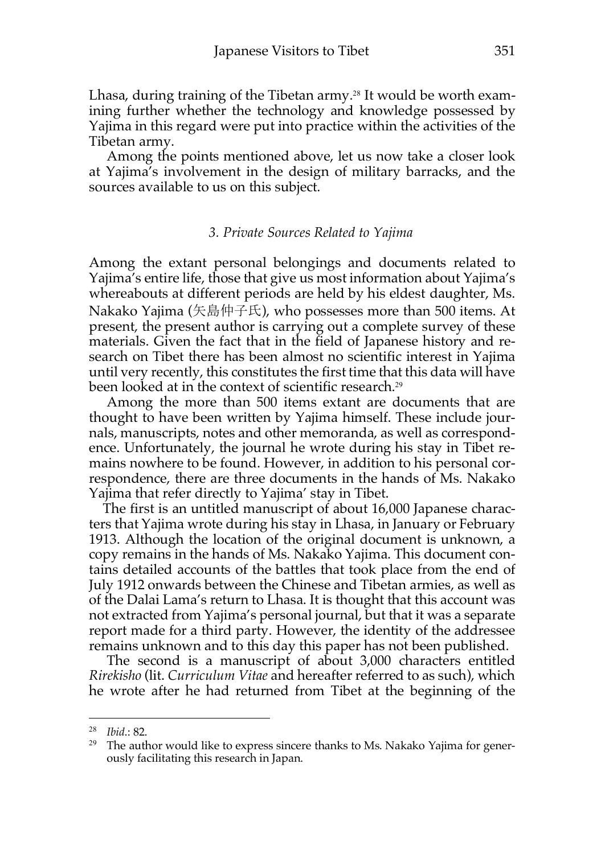Lhasa, during training of the Tibetan army.<sup>28</sup> It would be worth examining further whether the technology and knowledge possessed by Yajima in this regard were put into practice within the activities of the Tibetan army.

Among the points mentioned above, let us now take a closer look at Yajima's involvement in the design of military barracks, and the sources available to us on this subject.

#### *3. Private Sources Related to Yajima*

Among the extant personal belongings and documents related to Yajima's entire life, those that give us most information about Yajima's whereabouts at different periods are held by his eldest daughter, Ms. Nakako Yajima (矢島仲子氏), who possesses more than 500 items. At present, the present author is carrying out a complete survey of these materials. Given the fact that in the field of Japanese history and research on Tibet there has been almost no scientific interest in Yajima until very recently, this constitutes the first time that this data will have been looked at in the context of scientific research.<sup>29</sup>

Among the more than 500 items extant are documents that are thought to have been written by Yajima himself. These include journals, manuscripts, notes and other memoranda, as well as correspondence. Unfortunately, the journal he wrote during his stay in Tibet remains nowhere to be found. However, in addition to his personal correspondence, there are three documents in the hands of Ms. Nakako Yajima that refer directly to Yajima' stay in Tibet.

The first is an untitled manuscript of about 16,000 Japanese characters that Yajima wrote during his stay in Lhasa, in January or February 1913. Although the location of the original document is unknown, a copy remains in the hands of Ms. Nakako Yajima. This document contains detailed accounts of the battles that took place from the end of July 1912 onwards between the Chinese and Tibetan armies, as well as of the Dalai Lama's return to Lhasa. It is thought that this account was not extracted from Yajima's personal journal, but that it was a separate report made for a third party. However, the identity of the addressee remains unknown and to this day this paper has not been published.

The second is a manuscript of about 3,000 characters entitled *Rirekisho* (lit. *Curriculum Vitae* and hereafter referred to as such), which he wrote after he had returned from Tibet at the beginning of the

<sup>28</sup> *Ibid*.: 82.

 $29$  The author would like to express sincere thanks to Ms. Nakako Yajima for generously facilitating this research in Japan.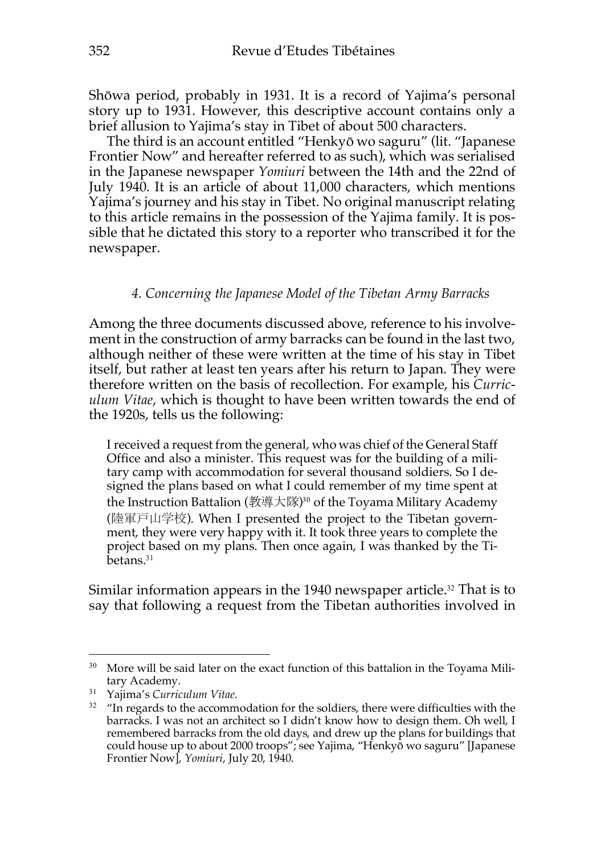Shōwa period, probably in 1931. It is a record of Yajima's personal story up to 1931. However, this descriptive account contains only a brief allusion to Yajima's stay in Tibet of about 500 characters.

The third is an account entitled "Henkyō wo saguru" (lit. "Japanese Frontier Now" and hereafter referred to as such), which was serialised in the Japanese newspaper *Yomiuri* between the 14th and the 22nd of July 1940. It is an article of about 11,000 characters, which mentions Yajima's journey and his stay in Tibet. No original manuscript relating to this article remains in the possession of the Yajima family. It is possible that he dictated this story to a reporter who transcribed it for the newspaper.

#### *4. Concerning the Japanese Model of the Tibetan Army Barracks*

Among the three documents discussed above, reference to his involvement in the construction of army barracks can be found in the last two, although neither of these were written at the time of his stay in Tibet itself, but rather at least ten years after his return to Japan. They were therefore written on the basis of recollection. For example, his *Curriculum Vitae*, which is thought to have been written towards the end of the 1920s, tells us the following:

I received a request from the general, who was chief of the General Staff Office and also a minister. This request was for the building of a military camp with accommodation for several thousand soldiers. So I designed the plans based on what I could remember of my time spent at the Instruction Battalion (教導大隊)<sup>30</sup> of the Toyama Military Academy (陸軍戸山学校). When I presented the project to the Tibetan government, they were very happy with it. It took three years to complete the project based on my plans. Then once again, I was thanked by the Tibetans.<sup>31</sup>

Similar information appears in the 1940 newspaper article.<sup>32</sup> That is to say that following a request from the Tibetan authorities involved in

<sup>&</sup>lt;sup>30</sup> More will be said later on the exact function of this battalion in the Toyama Military Academy.

<sup>31</sup> Yajima's *Curriculum Vitae*.

 $32$  "In regards to the accommodation for the soldiers, there were difficulties with the barracks. I was not an architect so I didn't know how to design them. Oh well, I remembered barracks from the old days, and drew up the plans for buildings that could house up to about 2000 troops"; see Yajima, "Henkyō wo saguru" [Japanese Frontier Now<sup>[*, Yomiuri*, July 20, 1940.</sup>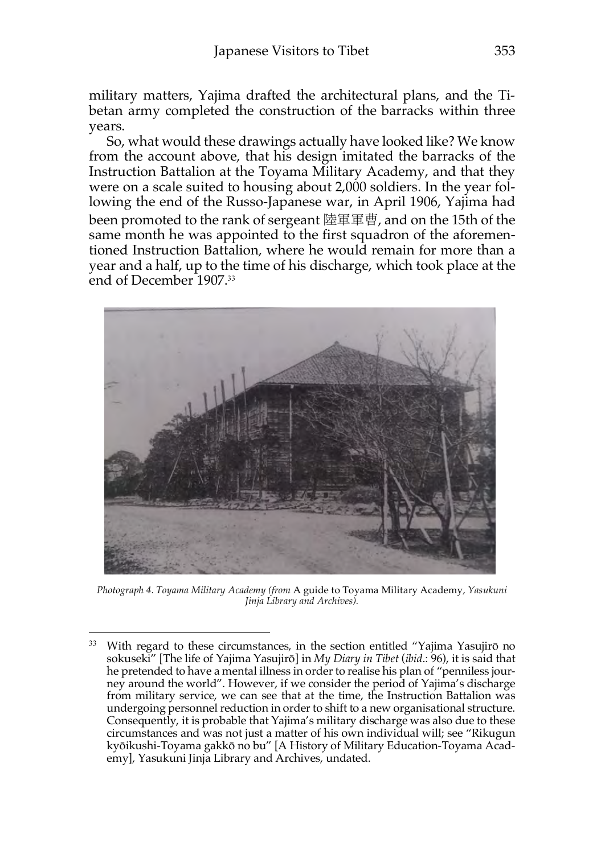military matters, Yajima drafted the architectural plans, and the Tibetan army completed the construction of the barracks within three years.

So, what would these drawings actually have looked like? We know from the account above, that his design imitated the barracks of the Instruction Battalion at the Toyama Military Academy, and that they were on a scale suited to housing about 2,000 soldiers. In the year following the end of the Russo-Japanese war, in April 1906, Yajima had been promoted to the rank of sergeant 陸軍軍曹, and on the 15th of the same month he was appointed to the first squadron of the aforementioned Instruction Battalion, where he would remain for more than a year and a half, up to the time of his discharge, which took place at the end of December 1907.<sup>33</sup>



*Photograph 4. Toyama Military Academy (from* A guide to Toyama Military Academy*, Yasukuni Jinja Library and Archives).* 

<sup>&</sup>lt;sup>33</sup> With regard to these circumstances, in the section entitled "Yajima Yasujirō no sokuseki" [The life of Yajima Yasujirō] in *My Diary in Tibet* (*ibid*.: 96), it is said that he pretended to have a mental illness in order to realise his plan of "penniless journey around the world". However, if we consider the period of Yajima's discharge from military service, we can see that at the time, the Instruction Battalion was undergoing personnel reduction in order to shift to a new organisational structure. Consequently, it is probable that Yajima's military discharge was also due to these circumstances and was not just a matter of his own individual will; see "Rikugun kyōikushi-Toyama gakkō no bu" [A History of Military Education-Toyama Academy], Yasukuni Jinja Library and Archives, undated.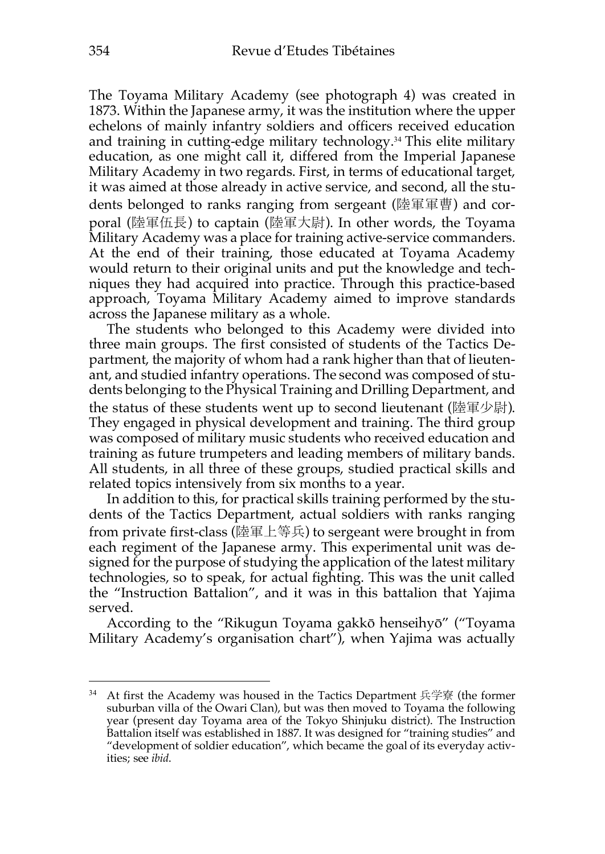The Toyama Military Academy (see photograph 4) was created in 1873. Within the Japanese army, it was the institution where the upper echelons of mainly infantry soldiers and officers received education and training in cutting-edge military technology.34 This elite military education, as one might call it, differed from the Imperial Japanese Military Academy in two regards. First, in terms of educational target, it was aimed at those already in active service, and second, all the students belonged to ranks ranging from sergeant (陸軍軍曹) and corporal (陸軍伍長) to captain (陸軍大尉). In other words, the Toyama Military Academy was a place for training active-service commanders. At the end of their training, those educated at Toyama Academy would return to their original units and put the knowledge and techniques they had acquired into practice. Through this practice-based approach, Toyama Military Academy aimed to improve standards across the Japanese military as a whole.

The students who belonged to this Academy were divided into three main groups. The first consisted of students of the Tactics Department, the majority of whom had a rank higher than that of lieutenant, and studied infantry operations. The second was composed of students belonging to the Physical Training and Drilling Department, and the status of these students went up to second lieutenant (陸軍少尉). They engaged in physical development and training. The third group was composed of military music students who received education and training as future trumpeters and leading members of military bands. All students, in all three of these groups, studied practical skills and related topics intensively from six months to a year.

In addition to this, for practical skills training performed by the students of the Tactics Department, actual soldiers with ranks ranging from private first-class (陸軍上等兵) to sergeant were brought in from each regiment of the Japanese army. This experimental unit was designed for the purpose of studying the application of the latest military technologies, so to speak, for actual fighting. This was the unit called the "Instruction Battalion", and it was in this battalion that Yajima served.

According to the "Rikugun Toyama gakkō henseihyō" ("Toyama Military Academy's organisation chart"), when Yajima was actually

<sup>34</sup> At first the Academy was housed in the Tactics Department 兵学寮 (the former suburban villa of the Owari Clan), but was then moved to Toyama the following year (present day Toyama area of the Tokyo Shinjuku district). The Instruction Battalion itself was established in 1887. It was designed for "training studies" and "development of soldier education", which became the goal of its everyday activities; see *ibid*.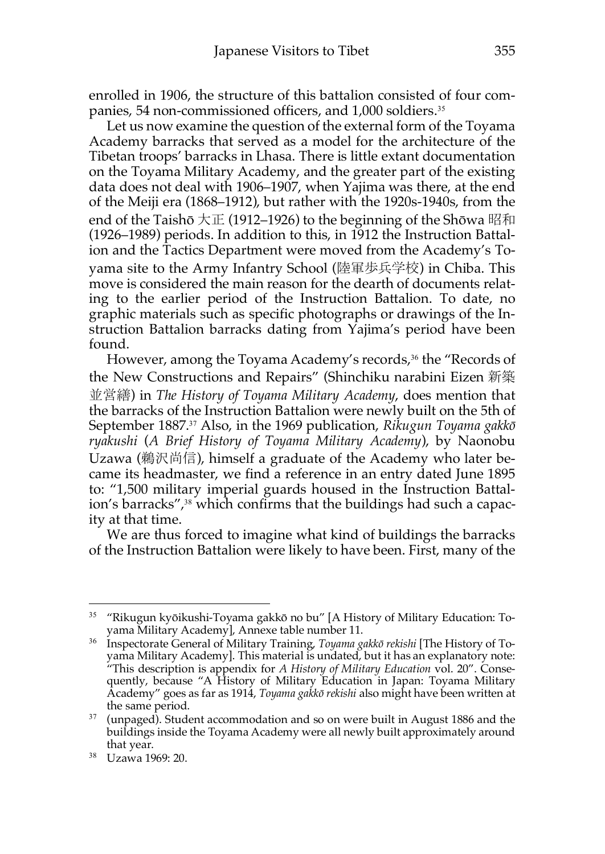enrolled in 1906, the structure of this battalion consisted of four companies, 54 non-commissioned officers, and 1,000 soldiers.<sup>35</sup>

Let us now examine the question of the external form of the Toyama Academy barracks that served as a model for the architecture of the Tibetan troops' barracks in Lhasa. There is little extant documentation on the Toyama Military Academy, and the greater part of the existing data does not deal with 1906–1907, when Yajima was there, at the end of the Meiji era (1868–1912), but rather with the 1920s-1940s, from the end of the Taishō  $\pm \mathbb{E}$  (1912–1926) to the beginning of the Shōwa 昭和 (1926–1989) periods. In addition to this, in 1912 the Instruction Battalion and the Tactics Department were moved from the Academy's Toyama site to the Army Infantry School (陸軍歩兵学校) in Chiba. This move is considered the main reason for the dearth of documents relating to the earlier period of the Instruction Battalion. To date, no graphic materials such as specific photographs or drawings of the Instruction Battalion barracks dating from Yajima's period have been found.

However, among the Toyama Academy's records,<sup>36</sup> the "Records of the New Constructions and Repairs" (Shinchiku narabini Eizen 新築 並営繕) in *The History of Toyama Military Academy*, does mention that the barracks of the Instruction Battalion were newly built on the 5th of September 1887.37 Also, in the 1969 publication, *Rikugun Toyama gakkō ryakushi* (*A Brief History of Toyama Military Academy*), by Naonobu Uzawa (鵜沢尚信), himself a graduate of the Academy who later became its headmaster, we find a reference in an entry dated June 1895 to: "1,500 military imperial guards housed in the Instruction Battalion's barracks",<sup>38</sup> which confirms that the buildings had such a capacity at that time.

We are thus forced to imagine what kind of buildings the barracks of the Instruction Battalion were likely to have been. First, many of the

<sup>&</sup>lt;sup>35</sup> "Rikugun kyōikushi-Toyama gakkō no bu" [A History of Military Education: Toyama Military Academy], Annexe table number 11.

<sup>36</sup> Inspectorate General of Military Training, *Toyama gakkō rekishi* [The History of Toyama Military Academy]. This material is undated, but it has an explanatory note: "This description is appendix for *A History of Military Education* vol. 20". Consequently, because "A History of Military Education in Japan: Toyama Military Academy" goes as far as 1914, *Toyama gakkō rekishi* also might have been written at the same period.

 $37$  (unpaged). Student accommodation and so on were built in August 1886 and the buildings inside the Toyama Academy were all newly built approximately around that year.

<sup>38</sup> Uzawa 1969: 20.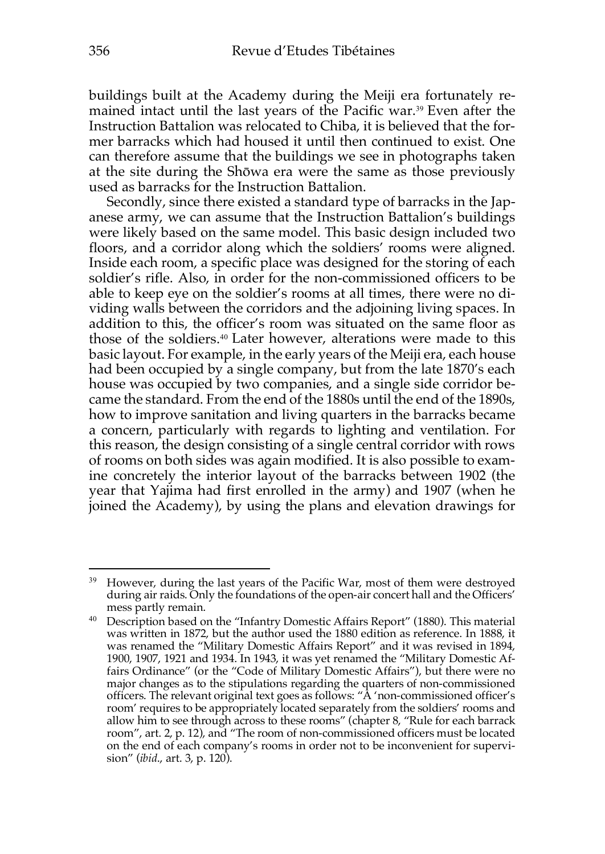buildings built at the Academy during the Meiji era fortunately remained intact until the last years of the Pacific war.39 Even after the Instruction Battalion was relocated to Chiba, it is believed that the former barracks which had housed it until then continued to exist. One can therefore assume that the buildings we see in photographs taken at the site during the Shōwa era were the same as those previously used as barracks for the Instruction Battalion.

Secondly, since there existed a standard type of barracks in the Japanese army, we can assume that the Instruction Battalion's buildings were likely based on the same model. This basic design included two floors, and a corridor along which the soldiers' rooms were aligned. Inside each room, a specific place was designed for the storing of each soldier's rifle. Also, in order for the non-commissioned officers to be able to keep eye on the soldier's rooms at all times, there were no dividing walls between the corridors and the adjoining living spaces. In addition to this, the officer's room was situated on the same floor as those of the soldiers.40 Later however, alterations were made to this basic layout. For example, in the early years of the Meiji era, each house had been occupied by a single company, but from the late 1870's each house was occupied by two companies, and a single side corridor became the standard. From the end of the 1880s until the end of the 1890s, how to improve sanitation and living quarters in the barracks became a concern, particularly with regards to lighting and ventilation. For this reason, the design consisting of a single central corridor with rows of rooms on both sides was again modified. It is also possible to examine concretely the interior layout of the barracks between 1902 (the year that Yajima had first enrolled in the army) and 1907 (when he joined the Academy), by using the plans and elevation drawings for

<sup>&</sup>lt;sup>39</sup> However, during the last years of the Pacific War, most of them were destroyed during air raids. Only the foundations of the open-air concert hall and the Officers' mess partly remain.

<sup>40</sup> Description based on the "Infantry Domestic Affairs Report" (1880). This material was written in 1872, but the author used the 1880 edition as reference. In 1888, it was renamed the "Military Domestic Affairs Report" and it was revised in 1894, 1900, 1907, 1921 and 1934. In 1943, it was yet renamed the "Military Domestic Affairs Ordinance" (or the "Code of Military Domestic Affairs"), but there were no major changes as to the stipulations regarding the quarters of non-commissioned officers. The relevant original text goes as follows: "A 'non-commissioned officer's room' requires to be appropriately located separately from the soldiers' rooms and allow him to see through across to these rooms" (chapter 8, "Rule for each barrack room", art. 2, p. 12), and "The room of non-commissioned officers must be located on the end of each company's rooms in order not to be inconvenient for supervision" (*ibid*., art. 3, p. 120).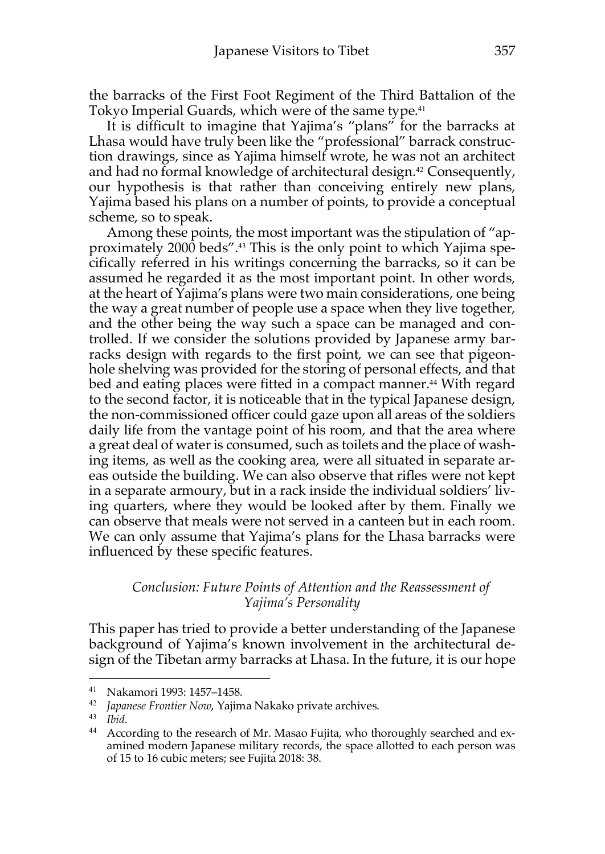the barracks of the First Foot Regiment of the Third Battalion of the Tokyo Imperial Guards, which were of the same type.<sup>41</sup>

It is difficult to imagine that Yajima's "plans" for the barracks at Lhasa would have truly been like the "professional" barrack construction drawings, since as Yajima himself wrote, he was not an architect and had no formal knowledge of architectural design.<sup>42</sup> Consequently, our hypothesis is that rather than conceiving entirely new plans, Yajima based his plans on a number of points, to provide a conceptual scheme, so to speak.

Among these points, the most important was the stipulation of "approximately 2000 beds".43 This is the only point to which Yajima specifically referred in his writings concerning the barracks, so it can be assumed he regarded it as the most important point. In other words, at the heart of Yajima's plans were two main considerations, one being the way a great number of people use a space when they live together, and the other being the way such a space can be managed and controlled. If we consider the solutions provided by Japanese army barracks design with regards to the first point, we can see that pigeonhole shelving was provided for the storing of personal effects, and that bed and eating places were fitted in a compact manner.<sup>44</sup> With regard to the second factor, it is noticeable that in the typical Japanese design, the non-commissioned officer could gaze upon all areas of the soldiers daily life from the vantage point of his room, and that the area where a great deal of water is consumed, such as toilets and the place of washing items, as well as the cooking area, were all situated in separate areas outside the building. We can also observe that rifles were not kept in a separate armoury, but in a rack inside the individual soldiers' living quarters, where they would be looked after by them. Finally we can observe that meals were not served in a canteen but in each room. We can only assume that Yajima's plans for the Lhasa barracks were influenced by these specific features.

### *Conclusion: Future Points of Attention and the Reassessment of Yajima's Personality*

This paper has tried to provide a better understanding of the Japanese background of Yajima's known involvement in the architectural design of the Tibetan army barracks at Lhasa. In the future, it is our hope

<sup>&</sup>lt;sup>41</sup> Nakamori 1993: 1457–1458.<br><sup>42</sup> *Iananese Frontier Nouv* Yaiim

Japanese Frontier Now, Yajima Nakako private archives.

<sup>43</sup> *Ibid*.

<sup>&</sup>lt;sup>44</sup> According to the research of Mr. Masao Fujita, who thoroughly searched and examined modern Japanese military records, the space allotted to each person was of 15 to 16 cubic meters; see Fujita 2018: 38.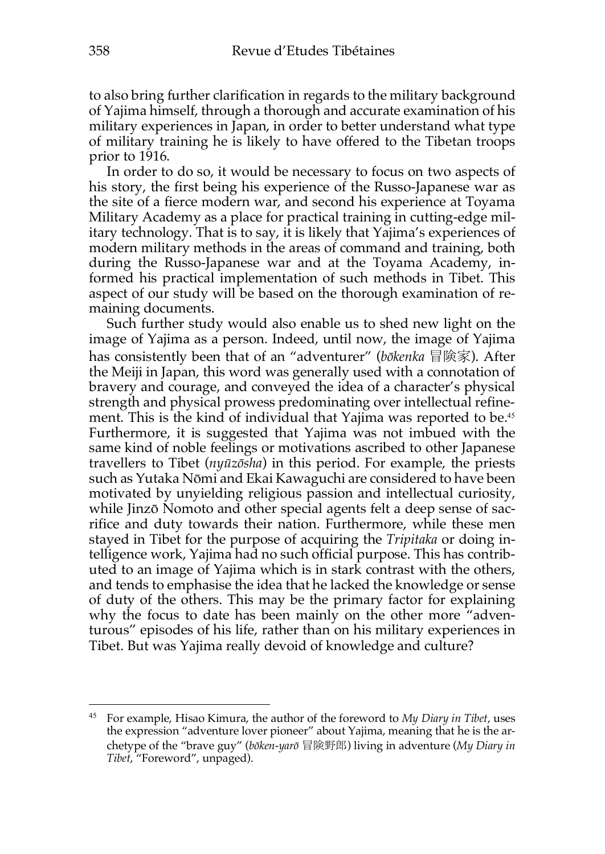to also bring further clarification in regards to the military background of Yajima himself, through a thorough and accurate examination of his military experiences in Japan, in order to better understand what type of military training he is likely to have offered to the Tibetan troops prior to 1916.

In order to do so, it would be necessary to focus on two aspects of his story, the first being his experience of the Russo-Japanese war as the site of a fierce modern war, and second his experience at Toyama Military Academy as a place for practical training in cutting-edge military technology. That is to say, it is likely that Yajima's experiences of modern military methods in the areas of command and training, both during the Russo-Japanese war and at the Toyama Academy, informed his practical implementation of such methods in Tibet. This aspect of our study will be based on the thorough examination of remaining documents.

Such further study would also enable us to shed new light on the image of Yajima as a person. Indeed, until now, the image of Yajima has consistently been that of an "adventurer" (*bōkenka* 冒険家). After the Meiji in Japan, this word was generally used with a connotation of bravery and courage, and conveyed the idea of a character's physical strength and physical prowess predominating over intellectual refinement. This is the kind of individual that Yajima was reported to be.<sup>45</sup> Furthermore, it is suggested that Yajima was not imbued with the same kind of noble feelings or motivations ascribed to other Japanese travellers to Tibet (*nyūzōsha*) in this period. For example, the priests such as Yutaka Nōmi and Ekai Kawaguchi are considered to have been motivated by unyielding religious passion and intellectual curiosity, while Jinzō Nomoto and other special agents felt a deep sense of sacrifice and duty towards their nation. Furthermore, while these men stayed in Tibet for the purpose of acquiring the *Tripitaka* or doing intelligence work, Yajima had no such official purpose. This has contributed to an image of Yajima which is in stark contrast with the others, and tends to emphasise the idea that he lacked the knowledge or sense of duty of the others. This may be the primary factor for explaining why the focus to date has been mainly on the other more "adventurous" episodes of his life, rather than on his military experiences in Tibet. But was Yajima really devoid of knowledge and culture?

<sup>45</sup> For example, Hisao Kimura, the author of the foreword to *My Diary in Tibet*, uses the expression "adventure lover pioneer" about Yajima, meaning that he is the archetype of the "brave guy" (*bōken-yarō* 冒険野郎) living in adventure (*My Diary in Tibet*, "Foreword", unpaged).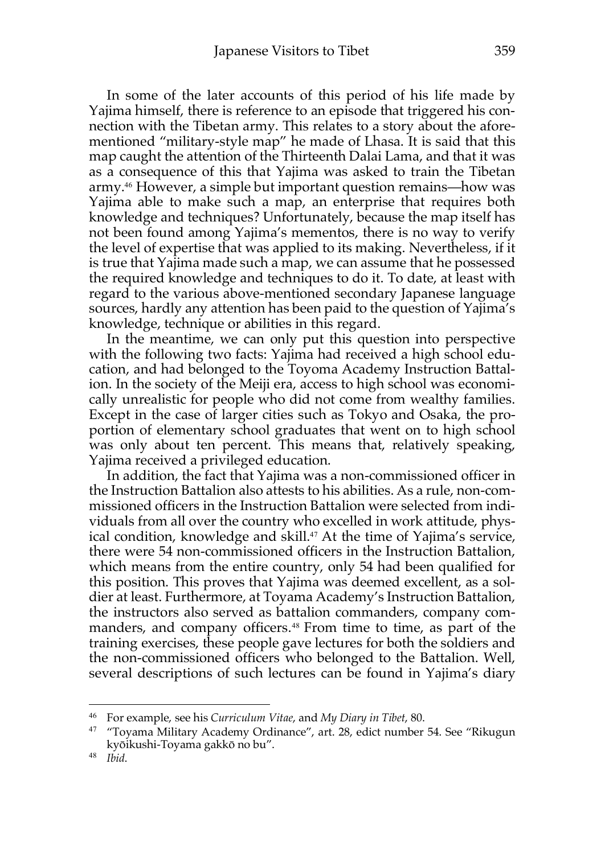In some of the later accounts of this period of his life made by Yajima himself, there is reference to an episode that triggered his connection with the Tibetan army. This relates to a story about the aforementioned "military-style map" he made of Lhasa. It is said that this map caught the attention of the Thirteenth Dalai Lama, and that it was as a consequence of this that Yajima was asked to train the Tibetan army.46 However, a simple but important question remains—how was Yajima able to make such a map, an enterprise that requires both knowledge and techniques? Unfortunately, because the map itself has not been found among Yajima's mementos, there is no way to verify the level of expertise that was applied to its making. Nevertheless, if it is true that Yajima made such a map, we can assume that he possessed the required knowledge and techniques to do it. To date, at least with regard to the various above-mentioned secondary Japanese language sources, hardly any attention has been paid to the question of Yajima's knowledge, technique or abilities in this regard.

In the meantime, we can only put this question into perspective with the following two facts: Yajima had received a high school education, and had belonged to the Toyoma Academy Instruction Battalion. In the society of the Meiji era, access to high school was economically unrealistic for people who did not come from wealthy families. Except in the case of larger cities such as Tokyo and Osaka, the proportion of elementary school graduates that went on to high school was only about ten percent. This means that, relatively speaking, Yajima received a privileged education.

In addition, the fact that Yajima was a non-commissioned officer in the Instruction Battalion also attests to his abilities. As a rule, non-commissioned officers in the Instruction Battalion were selected from individuals from all over the country who excelled in work attitude, physical condition, knowledge and skill.<sup>47</sup> At the time of Yajima's service, there were 54 non-commissioned officers in the Instruction Battalion, which means from the entire country, only 54 had been qualified for this position. This proves that Yajima was deemed excellent, as a soldier at least. Furthermore, at Toyama Academy's Instruction Battalion, the instructors also served as battalion commanders, company commanders, and company officers.<sup>48</sup> From time to time, as part of the training exercises, these people gave lectures for both the soldiers and the non-commissioned officers who belonged to the Battalion. Well, several descriptions of such lectures can be found in Yajima's diary

<sup>46</sup> For example, see his *Curriculum Vitae*, and *My Diary in Tibet*, 80.

<sup>&</sup>lt;sup>47</sup> "Toyama Military Academy Ordinance", art. 28, edict number 54. See "Rikugun kyōikushi-Toyama gakkō no bu".

<sup>48</sup> *Ibid*.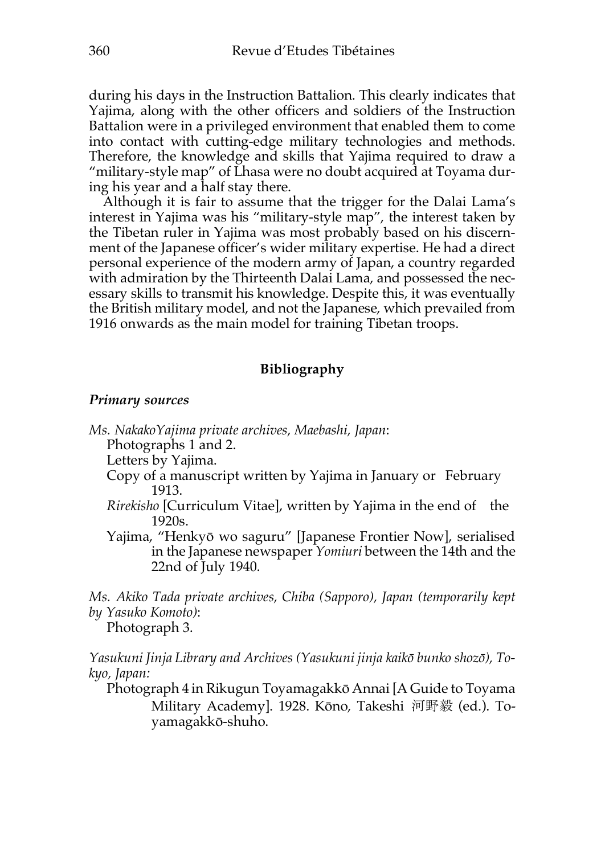during his days in the Instruction Battalion. This clearly indicates that Yajima, along with the other officers and soldiers of the Instruction Battalion were in a privileged environment that enabled them to come into contact with cutting-edge military technologies and methods. Therefore, the knowledge and skills that Yajima required to draw a "military-style map" of Lhasa were no doubt acquired at Toyama during his year and a half stay there.

Although it is fair to assume that the trigger for the Dalai Lama's interest in Yajima was his "military-style map", the interest taken by the Tibetan ruler in Yajima was most probably based on his discernment of the Japanese officer's wider military expertise. He had a direct personal experience of the modern army of Japan, a country regarded with admiration by the Thirteenth Dalai Lama, and possessed the necessary skills to transmit his knowledge. Despite this, it was eventually the British military model, and not the Japanese, which prevailed from 1916 onwards as the main model for training Tibetan troops.

## **Bibliography**

#### *Primary sources*

*Ms. NakakoYajima private archives, Maebashi, Japan*:

Photographs 1 and 2.

Letters by Yajima.

- Copy of a manuscript written by Yajima in January or February 1913.
- *Rirekisho* [Curriculum Vitae], written by Yajima in the end of the 1920s.
- Yajima, "Henkyō wo saguru" [Japanese Frontier Now], serialised in the Japanese newspaper *Yomiuri* between the 14th and the 22nd of July 1940.

*Ms. Akiko Tada private archives, Chiba (Sapporo), Japan (temporarily kept by Yasuko Komoto)*:

Photograph 3.

*Yasukuni Jinja Library and Archives (Yasukuni jinja kaikō bunko shozō), Tokyo, Japan:* 

Photograph 4 in Rikugun Toyamagakkō Annai [A Guide to Toyama Military Academy]. 1928. Kōno, Takeshi 河野毅 (ed.). Toyamagakkō-shuho.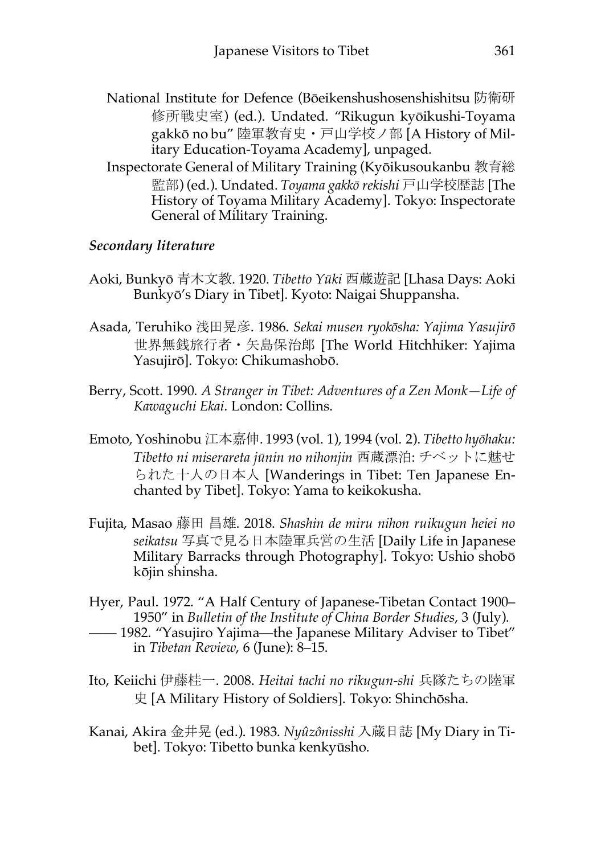- National Institute for Defence (Bōeikenshushosenshishitsu 防衛研 修所戦史室) (ed.). Undated. "Rikugun kyōikushi-Toyama gakkō no bu" 陸軍教育史・戸山学校ノ部 [A History of Military Education-Toyama Academy], unpaged.
- Inspectorate General of Military Training (Kyōikusoukanbu 教育総 監部) (ed.). Undated. *Toyama gakkō rekishi* 戸山学校歴誌 [The History of Toyama Military Academy]. Tokyo: Inspectorate General of Military Training.

# *Secondary literature*

- Aoki, Bunkyō 青木文教. 1920. *Tibetto Yūki* 西蔵遊記 [Lhasa Days: Aoki Bunkyō's Diary in Tibet]. Kyoto: Naigai Shuppansha.
- Asada, Teruhiko 浅田晃彦. 1986. *Sekai musen ryokōsha: Yajima Yasujirō* 世界無銭旅行者・矢島保治郎 [The World Hitchhiker: Yajima Yasujirō]. Tokyo: Chikumashobō.
- Berry, Scott. 1990. *A Stranger in Tibet: Adventures of a Zen Monk—Life of Kawaguchi Ekai*. London: Collins.
- Emoto, Yoshinobu 江本嘉伸. 1993 (vol. 1), 1994 (vol. 2). *Tibetto hyōhaku: Tibetto ni miserareta jūnin no nihonjin* 西蔵漂泊: チベットに魅せ られた十人の日本人 [Wanderings in Tibet: Ten Japanese Enchanted by Tibet]. Tokyo: Yama to keikokusha.
- Fujita, Masao 藤田 昌雄. 2018. *Shashin de miru nihon ruikugun heiei no seikatsu* 写真で見る日本陸軍兵営の生活 [Daily Life in Japanese Military Barracks through Photography]. Tokyo: Ushio shobō kōjin shinsha.
- Hyer, Paul. 1972. "A Half Century of Japanese-Tibetan Contact 1900– 1950" in *Bulletin of the Institute of China Border Studies*, 3 (July).
- —— 1982. "Yasujiro Yajima—the Japanese Military Adviser to Tibet" in *Tibetan Review*, 6 (June): 8–15.
- Ito, Keiichi 伊藤桂一. 2008. *Heitai tachi no rikugun-shi* 兵隊たちの陸軍 史 [A Military History of Soldiers]. Tokyo: Shinchōsha.
- Kanai, Akira 金井晃 (ed.). 1983. *Nyûzônisshi* 入蔵日誌 [My Diary in Tibet]. Tokyo: Tibetto bunka kenkyūsho.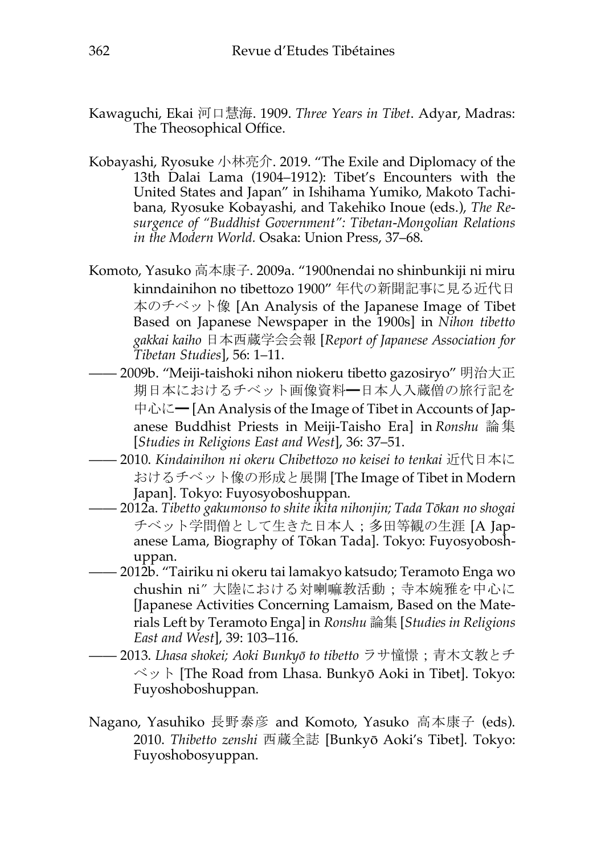- Kawaguchi, Ekai 河口慧海. 1909. *Three Years in Tibet*. Adyar, Madras: The Theosophical Office.
- Kobayashi, Ryosuke 小林亮介. 2019. "The Exile and Diplomacy of the 13th Dalai Lama (1904–1912): Tibet's Encounters with the United States and Japan" in Ishihama Yumiko, Makoto Tachibana, Ryosuke Kobayashi, and Takehiko Inoue (eds.), *The Resurgence of "Buddhist Government": Tibetan-Mongolian Relations in the Modern World.* Osaka: Union Press, 37–68.
- Komoto, Yasuko 高本康子. 2009a. "1900nendai no shinbunkiji ni miru kinndainihon no tibettozo 1900" 年代の新聞記事に見る近代日 本のチベット像 [An Analysis of the Japanese Image of Tibet Based on Japanese Newspaper in the 1900s] in *Nihon tibetto gakkai kaiho* 日本西蔵学会会報 [*Report of Japanese Association for Tibetan Studies*], 56: 1–11.
- —— 2009b. "Meiji-taishoki nihon niokeru tibetto gazosiryo" 明治大正 期日本におけるチベット画像資料━日本人入蔵僧の旅行記を 中心に— [An Analysis of the Image of Tibet in Accounts of Japanese Buddhist Priests in Meiji-Taisho Era] in *Ronshu* 論集 [*Studies in Religions East and West*], 36: 37–51.
- —— 2010. *Kindainihon ni okeru Chibettozo no keisei to tenkai* 近代日本に おけるチベット像の形成と展開 [The Image of Tibet in Modern Japan]. Tokyo: Fuyosyoboshuppan.
- —— 2012a. *Tibetto gakumonso to shite ikita nihonjin; Tada Tōkan no shogai* チベット学問僧として生きた日本人;多田等観の生涯 [A Japanese Lama, Biography of Tōkan Tada]. Tokyo: Fuyosyoboshuppan.
- —— 2012b. "Tairiku ni okeru tai lamakyo katsudo; Teramoto Enga wo chushin ni*"* 大陸における対喇嘛教活動;寺本婉雅を中心に [Japanese Activities Concerning Lamaism, Based on the Materials Left by Teramoto Enga] in *Ronshu* 論集 [*Studies in Religions East and West*], 39: 103–116.
- —— 2013. *Lhasa shokei; Aoki Bunkyō to tibetto* ラサ憧憬;青木文教とチ ベット [The Road from Lhasa. Bunkyō Aoki in Tibet]. Tokyo: Fuyoshoboshuppan.
- Nagano, Yasuhiko 長野泰彦 and Komoto, Yasuko 高本康子 (eds). 2010. *Thibetto zenshi* 西蔵全誌 [Bunkyō Aoki's Tibet]*.* Tokyo: Fuyoshobosyuppan.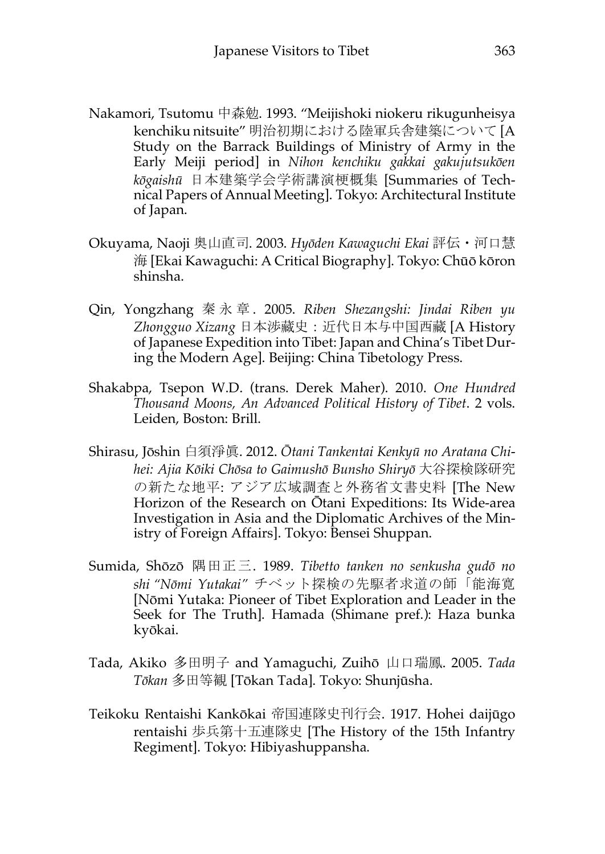- Nakamori, Tsutomu 中森勉. 1993. "Meijishoki niokeru rikugunheisya kenchiku nitsuite" 明治初期における陸軍兵舎建築について [A Study on the Barrack Buildings of Ministry of Army in the Early Meiji period] in *Nihon kenchiku gakkai gakujutsukōen kōgaishū* 日本建築学会学術講演梗概集 [Summaries of Technical Papers of Annual Meeting]. Tokyo: Architectural Institute of Japan.
- Okuyama, Naoji 奥山直司. 2003. *Hyōden Kawaguchi Ekai* 評伝・河口慧 海 [Ekai Kawaguchi: A Critical Biography]. Tokyo: Chūō kōron shinsha.
- Qin, Yongzhang 秦永章 . 2005. *Riben Shezangshi: Jindai Riben yu Zhongguo Xizang* 日本渉藏史:近代日本与中国西藏 [A History of Japanese Expedition into Tibet: Japan and China's Tibet During the Modern Age]. Beijing: China Tibetology Press.
- Shakabpa, Tsepon W.D. (trans. Derek Maher). 2010. *One Hundred Thousand Moons, An Advanced Political History of Tibet*. 2 vols. Leiden, Boston: Brill.
- Shirasu, Jōshin 白須淨眞. 2012. *Ōtani Tankentai Kenkyū no Aratana Chihei: Ajia Kōiki Chōsa to Gaimushō Bunsho Shiryō* 大谷探検隊研究 の新たな地平: アジア広域調査と外務省文書史料 [The New Horizon of the Research on Ōtani Expeditions: Its Wide-area Investigation in Asia and the Diplomatic Archives of the Ministry of Foreign Affairs]. Tokyo: Bensei Shuppan.
- Sumida, Shōzō 隅田正三. 1989. *Tibetto tanken no senkusha gudō no shi "Nōmi Yutakai"* チベット探検の先駆者求道の師「能海寛 [Nōmi Yutaka: Pioneer of Tibet Exploration and Leader in the Seek for The Truth]. Hamada (Shimane pref.): Haza bunka kyōkai.
- Tada, Akiko 多田明子 and Yamaguchi, Zuihō 山口瑞鳳. 2005. *Tada Tōkan* 多田等観 [Tōkan Tada]. Tokyo: Shunjūsha.
- Teikoku Rentaishi Kankōkai 帝国連隊史刊行会. 1917. Hohei daijūgo rentaishi 歩兵第十五連隊史 [The History of the 15th Infantry Regiment]. Tokyo: Hibiyashuppansha.